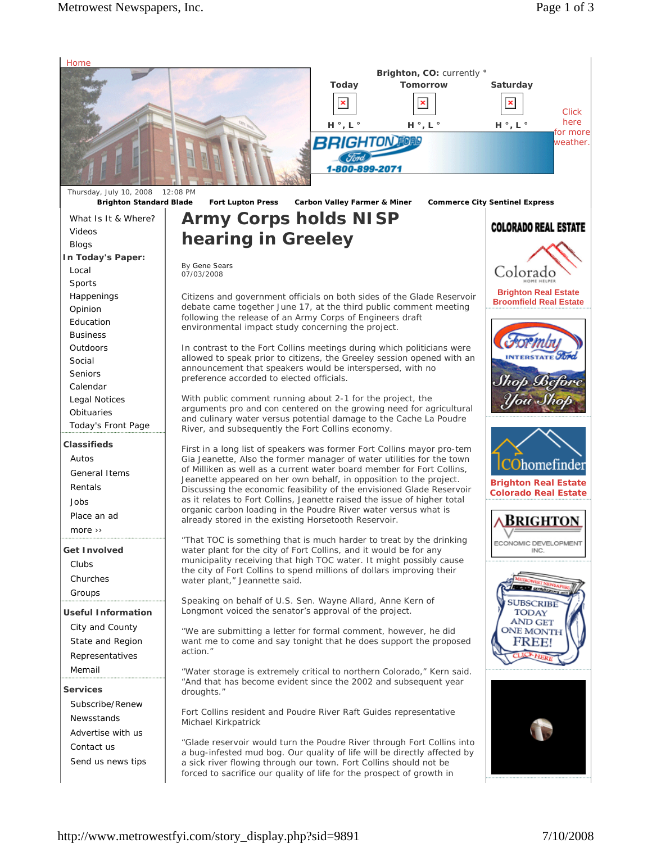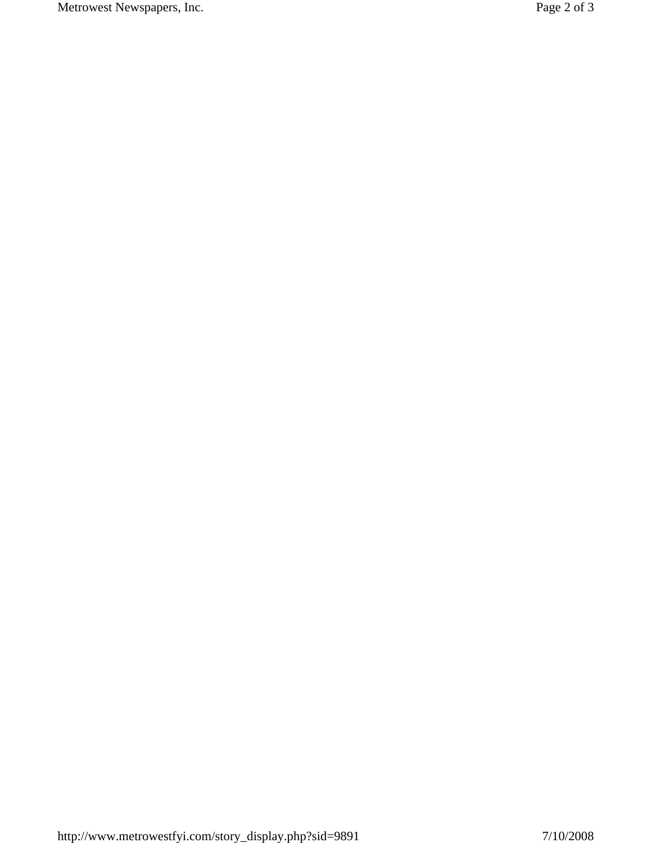Metrowest Newspapers, Inc. Page 2 of 3